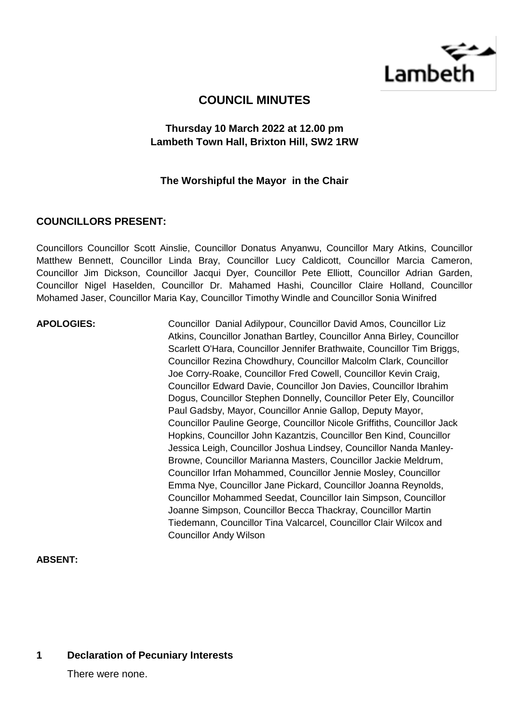

# **COUNCIL MINUTES**

## **Thursday 10 March 2022 at 12.00 pm Lambeth Town Hall, Brixton Hill, SW2 1RW**

### **The Worshipful the Mayor in the Chair**

### **COUNCILLORS PRESENT:**

Councillors Councillor Scott Ainslie, Councillor Donatus Anyanwu, Councillor Mary Atkins, Councillor Matthew Bennett, Councillor Linda Bray, Councillor Lucy Caldicott, Councillor Marcia Cameron, Councillor Jim Dickson, Councillor Jacqui Dyer, Councillor Pete Elliott, Councillor Adrian Garden, Councillor Nigel Haselden, Councillor Dr. Mahamed Hashi, Councillor Claire Holland, Councillor Mohamed Jaser, Councillor Maria Kay, Councillor Timothy Windle and Councillor Sonia Winifred

**APOLOGIES:** Councillor Danial Adilypour, Councillor David Amos, Councillor Liz Atkins, Councillor Jonathan Bartley, Councillor Anna Birley, Councillor Scarlett O'Hara, Councillor Jennifer Brathwaite, Councillor Tim Briggs, Councillor Rezina Chowdhury, Councillor Malcolm Clark, Councillor Joe Corry-Roake, Councillor Fred Cowell, Councillor Kevin Craig, Councillor Edward Davie, Councillor Jon Davies, Councillor Ibrahim Dogus, Councillor Stephen Donnelly, Councillor Peter Ely, Councillor Paul Gadsby, Mayor, Councillor Annie Gallop, Deputy Mayor, Councillor Pauline George, Councillor Nicole Griffiths, Councillor Jack Hopkins, Councillor John Kazantzis, Councillor Ben Kind, Councillor Jessica Leigh, Councillor Joshua Lindsey, Councillor Nanda Manley-Browne, Councillor Marianna Masters, Councillor Jackie Meldrum, Councillor Irfan Mohammed, Councillor Jennie Mosley, Councillor Emma Nye, Councillor Jane Pickard, Councillor Joanna Reynolds, Councillor Mohammed Seedat, Councillor Iain Simpson, Councillor Joanne Simpson, Councillor Becca Thackray, Councillor Martin Tiedemann, Councillor Tina Valcarcel, Councillor Clair Wilcox and Councillor Andy Wilson

### **ABSENT:**

## **1 Declaration of Pecuniary Interests**

There were none.